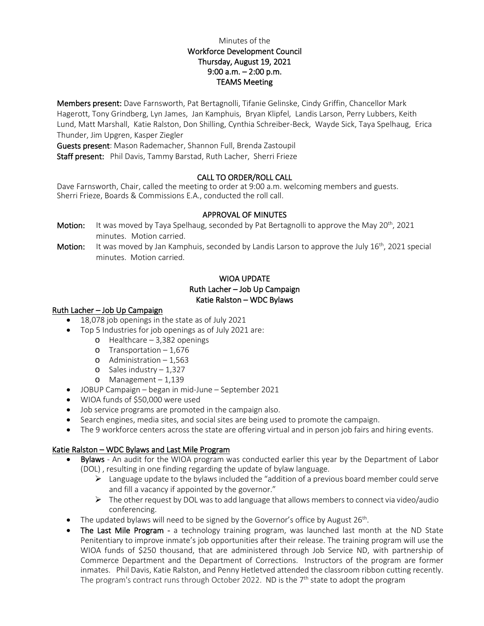## Minutes of the Workforce Development Council Thursday, August 19, 2021 9:00 a.m. – 2:00 p.m. TEAMS Meeting

Members present: Dave Farnsworth, Pat Bertagnolli, Tifanie Gelinske, Cindy Griffin, Chancellor Mark Hagerott, Tony Grindberg, Lyn James, Jan Kamphuis, Bryan Klipfel, Landis Larson, Perry Lubbers, Keith Lund, Matt Marshall, Katie Ralston, Don Shilling, Cynthia Schreiber-Beck, Wayde Sick, Taya Spelhaug, Erica Thunder, Jim Upgren, Kasper Ziegler

Guests present: Mason Rademacher, Shannon Full, Brenda Zastoupil Staff present: Phil Davis, Tammy Barstad, Ruth Lacher, Sherri Frieze

### CALL TO ORDER/ROLL CALL

Dave Farnsworth, Chair, called the meeting to order at 9:00 a.m. welcoming members and guests. Sherri Frieze, Boards & Commissions E.A., conducted the roll call.

#### APPROVAL OF MINUTES

Motion: It was moved by Taya Spelhaug, seconded by Pat Bertagnolli to approve the May 20<sup>th</sup>, 2021 minutes. Motion carried.

Motion: It was moved by Jan Kamphuis, seconded by Landis Larson to approve the July 16<sup>th</sup>, 2021 special minutes. Motion carried.

# WIOA UPDATE Ruth Lacher – Job Up Campaign Katie Ralston – WDC Bylaws

#### Ruth Lacher – Job Up Campaign

- 18,078 job openings in the state as of July 2021
- Top 5 Industries for job openings as of July 2021 are:
	- o Healthcare 3,382 openings
	- o Transportation 1,676
	- o Administration 1,563
	- o Sales industry 1,327
	- o Management 1,139
- JOBUP Campaign began in mid-June September 2021
- WIOA funds of \$50,000 were used
- Job service programs are promoted in the campaign also.
- Search engines, media sites, and social sites are being used to promote the campaign.
- The 9 workforce centers across the state are offering virtual and in person job fairs and hiring events.

#### Katie Ralston – WDC Bylaws and Last Mile Program

- Bylaws An audit for the WIOA program was conducted earlier this year by the Department of Labor (DOL) , resulting in one finding regarding the update of bylaw language.
	- $\triangleright$  Language update to the bylaws included the "addition of a previous board member could serve and fill a vacancy if appointed by the governor."
	- $\triangleright$  The other request by DOL was to add language that allows members to connect via video/audio conferencing.
- The updated bylaws will need to be signed by the Governor's office by August  $26^{th}$ .
- The Last Mile Program a technology training program, was launched last month at the ND State Penitentiary to improve inmate's job opportunities after their release. The training program will use the WIOA funds of \$250 thousand, that are administered through Job Service ND, with partnership of Commerce Department and the Department of Corrections. Instructors of the program are former inmates. Phil Davis, Katie Ralston, and Penny Hetletved attended the classroom ribbon cutting recently. The program's contract runs through October 2022. ND is the  $7<sup>th</sup>$  state to adopt the program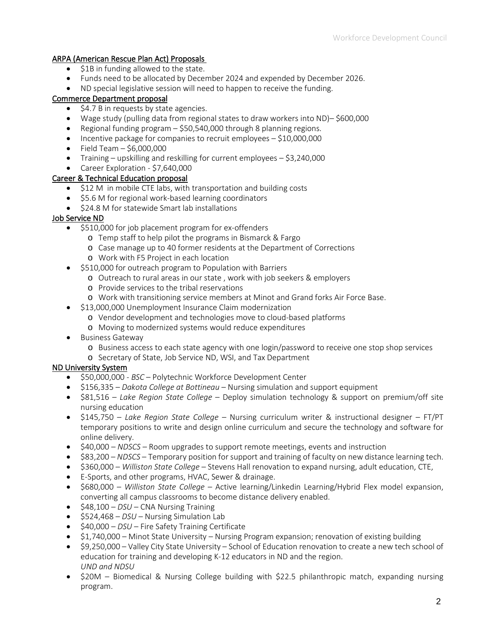# ARPA (American Rescue Plan Act) Proposals

- \$1B in funding allowed to the state.
- Funds need to be allocated by December 2024 and expended by December 2026.
- ND special legislative session will need to happen to receive the funding.

## Commerce Department proposal

- \$4.7 B in requests by state agencies.
- Wage study (pulling data from regional states to draw workers into ND)– \$600,000
- Regional funding program \$50,540,000 through 8 planning regions.
- Incentive package for companies to recruit employees \$10,000,000
- Field Team  $-$  \$6,000,000
- Training upskilling and reskilling for current employees \$3,240,000
- Career Exploration \$7,640,000

## Career & Technical Education proposal

- \$12 M in mobile CTE labs, with transportation and building costs
- \$5.6 M for regional work-based learning coordinators
- \$24.8 M for statewide Smart lab installations

### Job Service ND

- \$510,000 for job placement program for ex-offenders
	- o Temp staff to help pilot the programs in Bismarck & Fargo
	- o Case manage up to 40 former residents at the Department of Corrections
	- o Work with F5 Project in each location
- \$510,000 for outreach program to Population with Barriers
	- o Outreach to rural areas in our state , work with job seekers & employers
	- o Provide services to the tribal reservations
	- o Work with transitioning service members at Minot and Grand forks Air Force Base.
- \$13,000,000 Unemployment Insurance Claim modernization
	- o Vendor development and technologies move to cloud-based platforms
	- o Moving to modernized systems would reduce expenditures
- Business Gateway
	- o Business access to each state agency with one login/password to receive one stop shop services
	- o Secretary of State, Job Service ND, WSI, and Tax Department

## ND University System

- \$50,000,000 *BSC* Polytechnic Workforce Development Center
- \$156,335 *Dakota College at Bottineau* Nursing simulation and support equipment
- \$81,516 *Lake Region State College* Deploy simulation technology & support on premium/off site nursing education
- \$145,750 *Lake Region State College* Nursing curriculum writer & instructional designer FT/PT temporary positions to write and design online curriculum and secure the technology and software for online delivery.
- \$40,000 *NDSCS* Room upgrades to support remote meetings, events and instruction
- \$83,200 *NDSCS*  Temporary position for support and training of faculty on new distance learning tech.
- \$360,000 *Williston State College* Stevens Hall renovation to expand nursing, adult education, CTE,
- E-Sports, and other programs, HVAC, Sewer & drainage.
- \$680,000 *Williston State College* Active learning/Linkedin Learning/Hybrid Flex model expansion, converting all campus classrooms to become distance delivery enabled.
- \$48,100 *DSU* CNA Nursing Training
- \$524,468 *DSU* Nursing Simulation Lab
- \$40,000 *DSU* Fire Safety Training Certificate
- \$1,740,000 Minot State University Nursing Program expansion; renovation of existing building
- \$9,250,000 Valley City State University School of Education renovation to create a new tech school of education for training and developing K-12 educators in ND and the region. *UND and NDSU*
- \$20M Biomedical & Nursing College building with \$22.5 philanthropic match, expanding nursing program.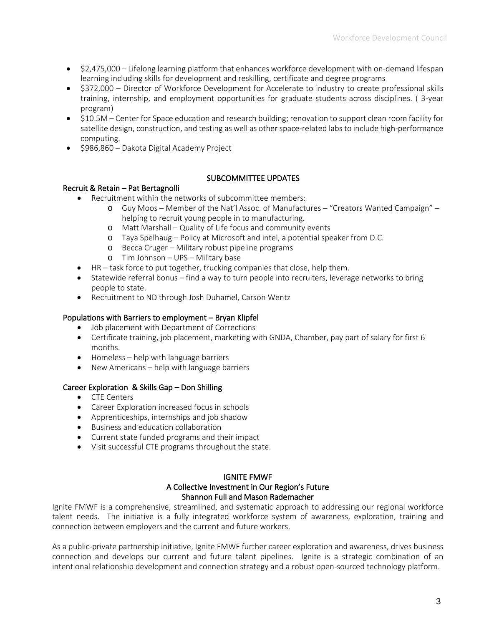- \$2,475,000 Lifelong learning platform that enhances workforce development with on-demand lifespan learning including skills for development and reskilling, certificate and degree programs
- \$372,000 Director of Workforce Development for Accelerate to industry to create professional skills training, internship, and employment opportunities for graduate students across disciplines. ( 3-year program)
- \$10.5M Center for Space education and research building; renovation to support clean room facility for satellite design, construction, and testing as well as other space-related labs to include high-performance computing.
- \$986,860 Dakota Digital Academy Project

## SUBCOMMITTEE UPDATES

### Recruit & Retain – Pat Bertagnolli

- Recruitment within the networks of subcommittee members:
	- o Guy Moos Member of the Nat'l Assoc. of Manufactures "Creators Wanted Campaign" helping to recruit young people in to manufacturing.
	- o Matt Marshall Quality of Life focus and community events
	- o Taya Spelhaug Policy at Microsoft and intel, a potential speaker from D.C.
	- o Becca Cruger Military robust pipeline programs
	- o Tim Johnson UPS Military base
- HR task force to put together, trucking companies that close, help them.
- Statewide referral bonus find a way to turn people into recruiters, leverage networks to bring people to state.
- Recruitment to ND through Josh Duhamel, Carson Wentz

## Populations with Barriers to employment – Bryan Klipfel

- Job placement with Department of Corrections
- Certificate training, job placement, marketing with GNDA, Chamber, pay part of salary for first 6 months.
- Homeless help with language barriers
- New Americans help with language barriers

## Career Exploration & Skills Gap – Don Shilling

- CTE Centers
- Career Exploration increased focus in schools
- Apprenticeships, internships and job shadow
- Business and education collaboration
- Current state funded programs and their impact
- Visit successful CTE programs throughout the state.

## IGNITE FMWF A Collective Investment in Our Region's Future Shannon Full and Mason Rademacher

Ignite FMWF is a comprehensive, streamlined, and systematic approach to addressing our regional workforce talent needs. The initiative is a fully integrated workforce system of awareness, exploration, training and connection between employers and the current and future workers.

As a public-private partnership initiative, Ignite FMWF further career exploration and awareness, drives business connection and develops our current and future talent pipelines. Ignite is a strategic combination of an intentional relationship development and connection strategy and a robust open-sourced technology platform.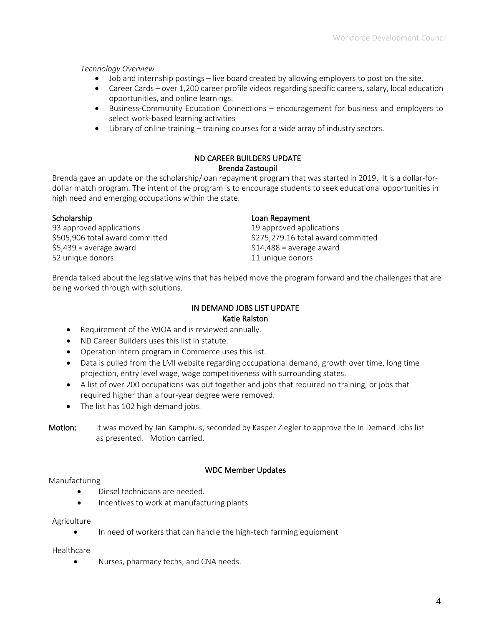*Technology Overview*

- Job and internship postings live board created by allowing employers to post on the site.
- Career Cards over 1,200 career profile videos regarding specific careers, salary, local education opportunities, and online learnings.
- Business-Community Education Connections encouragement for business and employers to select work-based learning activities
- Library of online training training courses for a wide array of industry sectors.

## ND CAREER BUILDERS UPDATE Brenda Zastoupil

Brenda gave an update on the scholarship/loan repayment program that was started in 2019. It is a dollar-fordollar match program. The intent of the program is to encourage students to seek educational opportunities in high need and emerging occupations within the state.

93 approved applications 19 approved applications  $$5,439$  = average award  $$14,488$  = average award 52 unique donors 11 unique donors

#### Scholarship **Loan Repayment**

\$505,906 total award committed \$275,279.16 total award committed

Brenda talked about the legislative wins that has helped move the program forward and the challenges that are being worked through with solutions.

#### IN DEMAND JOBS LIST UPDATE Katie Ralston

- Requirement of the WIOA and is reviewed annually.
- ND Career Builders uses this list in statute.
- Operation Intern program in Commerce uses this list.
- Data is pulled from the LMI website regarding occupational demand, growth over time, long time projection, entry level wage, wage competitiveness with surrounding states.
- A list of over 200 occupations was put together and jobs that required no training, or jobs that required higher than a four-year degree were removed.
- The list has 102 high demand jobs.
- **Motion:** It was moved by Jan Kamphuis, seconded by Kasper Ziegler to approve the In Demand Jobs list as presented. Motion carried.

## WDC Member Updates

#### Manufacturing

- Diesel technicians are needed.
- Incentives to work at manufacturing plants

Agriculture

• In need of workers that can handle the high-tech farming equipment

Healthcare

• Nurses, pharmacy techs, and CNA needs.